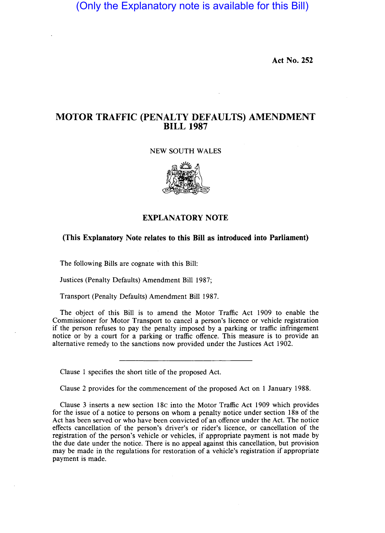(Only the Explanatory note is available for this Bill)

**Act No. 252** 

## **MOTOR TRAFFIC (PENALTY DEFAULTS) AMENDMENT BILL 1987**

## NEW SOUTH WALES



## **EXPLANATORY NOTE**

## **(This Explanatory Note relates to this Bill as introduced into Parliament)**

The following Bills are cognate with this Bill:

Justices (Penalty Defaults) Amendment Bill 1987;

Transport (Penalty Defaults) Amendment Bill 1987.

The object of this Bill is to amend the Motor Traffic Act 1909 to enable the Commissioner for Motor Transport to cancel a person's licence or vehicle registration if the person refuses to pay the penalty imposed by a parking or traffic infringement notice or by a court for a parking or traffic offence. This measure is to provide an alternative remedy to the sanctions now provided under the Justices Act 1902.

Clause 1 specifies the short title of the proposed Act.

Clause 2 provides for the commencement of the proposed Act on 1 January 1988.

Clause 3 inserts a new section 18c into the Motor Traffic Act 1909 which provides for the issue of a notice to persons on whom a penalty notice under section 18B of the Act has been served or who have been convicted of an offence under the Act. The notice effects cancellation of the person's driver's or rider's licence, or cancellation of the registration of the person's vehicle or vehicles, if appropriate payment is not made by the due date under the notice. There is no appeal against this cancellation, but provision may be made in the regulations for restoration of a vehicle's registration if appropriate payment is made.